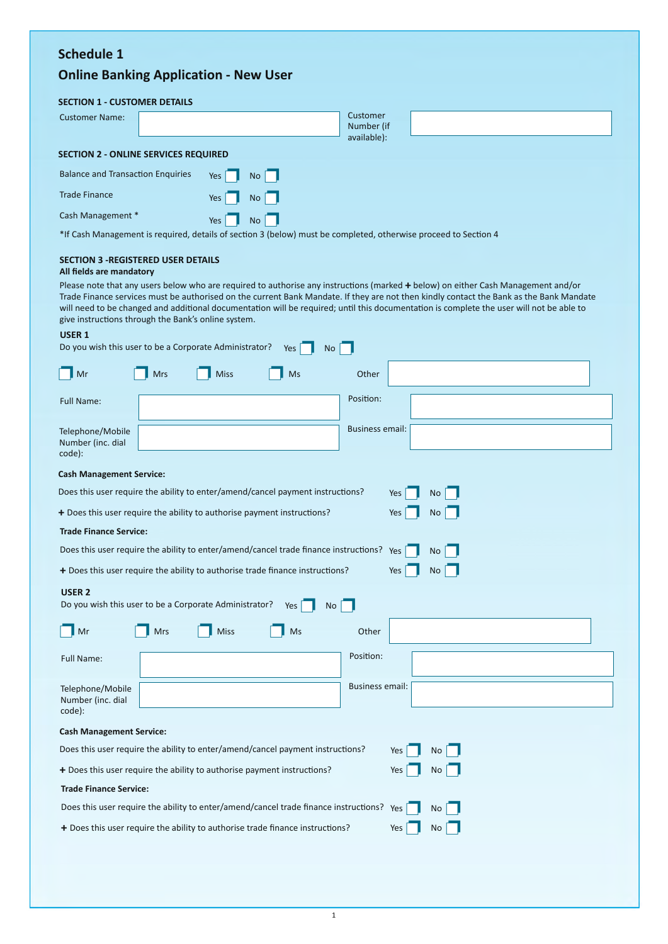## **Schedule 1**

# **Online Banking Application - New User**

### **SECTION 1 - CUSTOMER DETAILS**

| <b>Customer Name:</b>                                                                                           |  |     |      | Customer<br>Number (if<br>available): |  |
|-----------------------------------------------------------------------------------------------------------------|--|-----|------|---------------------------------------|--|
| <b>SECTION 2 - ONLINE SERVICES REQUIRED</b>                                                                     |  |     |      |                                       |  |
| <b>Balance and Transaction Enquiries</b>                                                                        |  | Yes | No   |                                       |  |
| <b>Trade Finance</b>                                                                                            |  | Yes | $No$ |                                       |  |
| Cash Management *                                                                                               |  | Yes | No   |                                       |  |
| *If Cash Management is required, details of section 3 (below) must be completed, otherwise proceed to Section 4 |  |     |      |                                       |  |

# **SECTION 3 -REGISTERED USER DETAILS**

#### **All fields are mandatory**

Please note that any users below who are required to authorise any instructions (marked **+** below) on either Cash Management and/or Trade Finance services must be authorised on the current Bank Mandate. If they are not then kindly contact the Bank as the Bank Mandate will need to be changed and additional documentation will be required; until this documentation is complete the user will not be able to give instructions through the Bank's online system.

#### **USER 1**

| Do you wish this user to be a Corporate Administrator?                                             |                                                                                                   |             | Yes | <b>No</b>              |                  |  |
|----------------------------------------------------------------------------------------------------|---------------------------------------------------------------------------------------------------|-------------|-----|------------------------|------------------|--|
| $\blacksquare$ Mr                                                                                  | Mrs                                                                                               | <b>Miss</b> | Ms  | Other                  |                  |  |
| <b>Full Name:</b>                                                                                  |                                                                                                   |             |     | Position:              |                  |  |
| Telephone/Mobile<br>Number (inc. dial<br>code):                                                    |                                                                                                   |             |     | <b>Business email:</b> |                  |  |
| <b>Cash Management Service:</b>                                                                    |                                                                                                   |             |     |                        |                  |  |
| Does this user require the ability to enter/amend/cancel payment instructions?<br>Yes<br><b>No</b> |                                                                                                   |             |     |                        |                  |  |
| + Does this user require the ability to authorise payment instructions?                            |                                                                                                   |             |     | <b>No</b><br>Yes       |                  |  |
| <b>Trade Finance Service:</b>                                                                      |                                                                                                   |             |     |                        |                  |  |
| Does this user require the ability to enter/amend/cancel trade finance instructions?               |                                                                                                   |             |     |                        | Yes<br><b>No</b> |  |
|                                                                                                    | + Does this user require the ability to authorise trade finance instructions?<br>Yes<br><b>No</b> |             |     |                        |                  |  |
| <b>USER 2</b><br>Do you wish this user to be a Corporate Administrator?<br>Yes<br><b>No</b>        |                                                                                                   |             |     |                        |                  |  |
| Mr                                                                                                 | <b>Mrs</b>                                                                                        | <b>Miss</b> | Ms  | Other                  |                  |  |
| Full Name:                                                                                         |                                                                                                   |             |     | Position:              |                  |  |
| Telephone/Mobile<br>Number (inc. dial<br>code):                                                    |                                                                                                   |             |     | <b>Business email:</b> |                  |  |
|                                                                                                    |                                                                                                   |             |     |                        |                  |  |
| <b>Cash Management Service:</b>                                                                    |                                                                                                   |             |     |                        |                  |  |
| Does this user require the ability to enter/amend/cancel payment instructions?<br>Yes<br>No        |                                                                                                   |             |     |                        |                  |  |
| + Does this user require the ability to authorise payment instructions?<br>Yes<br>No               |                                                                                                   |             |     |                        |                  |  |
| <b>Trade Finance Service:</b>                                                                      |                                                                                                   |             |     |                        |                  |  |
| Does this user require the ability to enter/amend/cancel trade finance instructions?<br>Yes<br>No  |                                                                                                   |             |     |                        |                  |  |
| + Does this user require the ability to authorise trade finance instructions?                      |                                                                                                   |             |     | Yes<br>No              |                  |  |